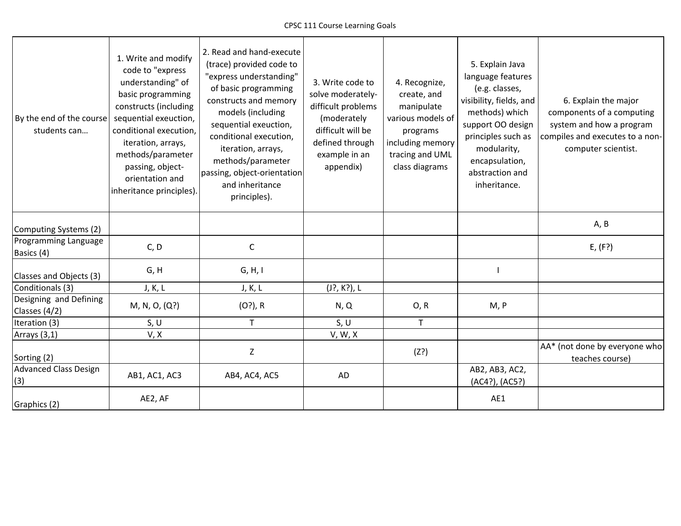| By the end of the course<br>students can | 1. Write and modify<br>code to "express<br>understanding" of<br>basic programming<br>constructs (including<br>sequential exeuction,<br>conditional execution,<br>iteration, arrays,<br>methods/parameter<br>passing, object-<br>orientation and<br>inheritance principles). | 2. Read and hand-execute<br>(trace) provided code to<br>"express understanding"<br>of basic programming<br>constructs and memory<br>models (including<br>sequential exeuction,<br>conditional execution,<br>iteration, arrays,<br>methods/parameter<br>passing, object-orientation<br>and inheritance<br>principles). | 3. Write code to<br>solve moderately-<br>difficult problems<br>(moderately<br>difficult will be<br>defined through<br>example in an<br>appendix) | 4. Recognize,<br>create, and<br>manipulate<br>various models of<br>programs<br>including memory<br>tracing and UML<br>class diagrams | 5. Explain Java<br>language features<br>(e.g. classes,<br>visibility, fields, and<br>methods) which<br>support OO design<br>principles such as<br>modularity,<br>encapsulation,<br>abstraction and<br>inheritance. | 6. Explain the major<br>components of a computing<br>system and how a program<br>compiles and executes to a non-<br>computer scientist. |
|------------------------------------------|-----------------------------------------------------------------------------------------------------------------------------------------------------------------------------------------------------------------------------------------------------------------------------|-----------------------------------------------------------------------------------------------------------------------------------------------------------------------------------------------------------------------------------------------------------------------------------------------------------------------|--------------------------------------------------------------------------------------------------------------------------------------------------|--------------------------------------------------------------------------------------------------------------------------------------|--------------------------------------------------------------------------------------------------------------------------------------------------------------------------------------------------------------------|-----------------------------------------------------------------------------------------------------------------------------------------|
| Computing Systems (2)                    |                                                                                                                                                                                                                                                                             |                                                                                                                                                                                                                                                                                                                       |                                                                                                                                                  |                                                                                                                                      |                                                                                                                                                                                                                    | A, B                                                                                                                                    |
| Programming Language<br>Basics (4)       | C, D                                                                                                                                                                                                                                                                        | $\mathsf C$                                                                                                                                                                                                                                                                                                           |                                                                                                                                                  |                                                                                                                                      |                                                                                                                                                                                                                    | E, (F?)                                                                                                                                 |
| Classes and Objects (3)                  | G, H                                                                                                                                                                                                                                                                        | G, H, I                                                                                                                                                                                                                                                                                                               |                                                                                                                                                  |                                                                                                                                      |                                                                                                                                                                                                                    |                                                                                                                                         |
| Conditionals (3)                         | J, K, L                                                                                                                                                                                                                                                                     | J, K, L                                                                                                                                                                                                                                                                                                               | (J?, K?), L                                                                                                                                      |                                                                                                                                      |                                                                                                                                                                                                                    |                                                                                                                                         |
| Designing and Defining<br>Classes (4/2)  | M, N, O, (Q?)                                                                                                                                                                                                                                                               | $(O?)$ , R                                                                                                                                                                                                                                                                                                            | N, Q                                                                                                                                             | O, R                                                                                                                                 | M, P                                                                                                                                                                                                               |                                                                                                                                         |
| Iteration (3)                            | S, U                                                                                                                                                                                                                                                                        | $\mathsf{T}$                                                                                                                                                                                                                                                                                                          | S, U                                                                                                                                             | T.                                                                                                                                   |                                                                                                                                                                                                                    |                                                                                                                                         |
| Arrays (3,1)                             | V, X                                                                                                                                                                                                                                                                        |                                                                                                                                                                                                                                                                                                                       | V, W, X                                                                                                                                          |                                                                                                                                      |                                                                                                                                                                                                                    |                                                                                                                                         |
| Sorting (2)                              |                                                                                                                                                                                                                                                                             | $\mathsf Z$                                                                                                                                                                                                                                                                                                           |                                                                                                                                                  | (Z?)                                                                                                                                 |                                                                                                                                                                                                                    | AA* (not done by everyone who<br>teaches course)                                                                                        |
| <b>Advanced Class Design</b><br>(3)      | AB1, AC1, AC3                                                                                                                                                                                                                                                               | AB4, AC4, AC5                                                                                                                                                                                                                                                                                                         | AD                                                                                                                                               |                                                                                                                                      | AB2, AB3, AC2,<br>(AC4?), (AC5?)                                                                                                                                                                                   |                                                                                                                                         |
| Graphics (2)                             | AE2, AF                                                                                                                                                                                                                                                                     |                                                                                                                                                                                                                                                                                                                       |                                                                                                                                                  |                                                                                                                                      | AE1                                                                                                                                                                                                                |                                                                                                                                         |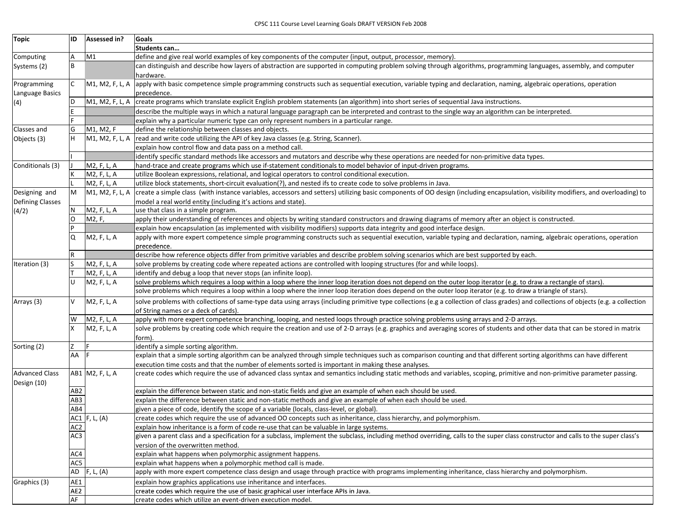| <b>Topic</b>                         | ID              | Assessed in?    | Goals                                                                                                                                                                                  |
|--------------------------------------|-----------------|-----------------|----------------------------------------------------------------------------------------------------------------------------------------------------------------------------------------|
|                                      |                 |                 | Students can                                                                                                                                                                           |
| Computing                            | A               | M1              | define and give real world examples of key components of the computer (input, output, processor, memory).                                                                              |
| Systems (2)                          | B               |                 | can distinguish and describe how layers of abstraction are supported in computing problem solving through algorithms, programming languages, assembly, and computer<br>hardware.       |
| Programming                          | C               | M1, M2, F, L, A | apply with basic competence simple programming constructs such as sequential execution, variable typing and declaration, naming, algebraic operations, operation                       |
| Language Basics                      |                 |                 | precedence.                                                                                                                                                                            |
| (4)                                  | D               | M1, M2, F, L, A | create programs which translate explicit English problem statements (an algorithm) into short series of sequential Java instructions.                                                  |
|                                      |                 |                 | describe the multiple ways in which a natural language paragraph can be interpreted and contrast to the single way an algorithm can be interpreted.                                    |
|                                      |                 |                 | explain why a particular numeric type can only represent numbers in a particular range.                                                                                                |
| Classes and                          | G               | M1, M2, F       | define the relationship between classes and objects.                                                                                                                                   |
| Objects (3)                          | H               | M1, M2, F, L, A | read and write code utilizing the API of key Java classes (e.g. String, Scanner).                                                                                                      |
|                                      |                 |                 | explain how control flow and data pass on a method call.                                                                                                                               |
|                                      |                 |                 | identify specific standard methods like accessors and mutators and describe why these operations are needed for non-primitive data types.                                              |
| Conditionals (3)                     |                 | M2, F, L, A     | hand-trace and create programs which use if-statement conditionals to model behavior of input-driven programs.                                                                         |
|                                      |                 | M2, F, L, A     | utilize Boolean expressions, relational, and logical operators to control conditional execution.                                                                                       |
|                                      |                 | M2, F, L, A     | utilize block statements, short-circuit evaluation(?), and nested ifs to create code to solve problems in Java.                                                                        |
| Designing and                        | M               | M1, M2, F, L, A | create a simple class (with instance variables, accessors and setters) utilizing basic components of OO design (including encapsulation, visibility modifiers, and overloading) to     |
| <b>Defining Classes</b>              |                 |                 | model a real world entity (including it's actions and state).                                                                                                                          |
| (4/2)                                | N               | M2, F, L, A     | use that class in a simple program.                                                                                                                                                    |
|                                      | O               | M2, F,          | apply their understanding of references and objects by writing standard constructors and drawing diagrams of memory after an object is constructed.                                    |
|                                      |                 |                 | explain how encapsulation (as implemented with visibility modifiers) supports data integrity and good interface design.                                                                |
|                                      | Q               | M2, F, L, A     | apply with more expert competence simple programming constructs such as sequential execution, variable typing and declaration, naming, algebraic operations, operation<br>precedence.  |
|                                      | $\mathsf R$     |                 | describe how reference objects differ from primitive variables and describe problem solving scenarios which are best supported by each.                                                |
| Iteration (3)                        |                 | M2, F, L, A     | solve problems by creating code where repeated actions are controlled with looping structures (for and while loops).                                                                   |
|                                      |                 | M2, F, L, A     | identify and debug a loop that never stops (an infinite loop).                                                                                                                         |
|                                      | U               | M2, F, L, A     | solve problems which requires a loop within a loop where the inner loop iteration does not depend on the outer loop iterator (e.g. to draw a rectangle of stars).                      |
|                                      |                 |                 | solve problems which requires a loop within a loop where the inner loop iteration does depend on the outer loop iterator (e.g. to draw a triangle of stars).                           |
| Arrays (3)                           | v               | M2, F, L, A     | solve problems with collections of same-type data using arrays (including primitive type collections (e.g a collection of class grades) and collections of objects (e.g. a collection  |
|                                      |                 |                 | of String names or a deck of cards).                                                                                                                                                   |
|                                      | W               | M2, F, L, A     | apply with more expert competence branching, looping, and nested loops through practice solving problems using arrays and 2-D arrays.                                                  |
|                                      |                 | M2, F, L, A     | solve problems by creating code which require the creation and use of 2-D arrays (e.g. graphics and averaging scores of students and other data that can be stored in matrix<br>form). |
| Sorting (2)                          |                 |                 | identify a simple sorting algorithm.                                                                                                                                                   |
|                                      | AA              |                 | explain that a simple sorting algorithm can be analyzed through simple techniques such as comparison counting and that different sorting algorithms can have different                 |
|                                      |                 |                 | execution time costs and that the number of elements sorted is important in making these analyses.                                                                                     |
| <b>Advanced Class</b><br>Design (10) |                 | AB1 M2, F, L, A | create codes which require the use of advanced class syntax and semantics including static methods and variables, scoping, primitive and non-primitive parameter passing.              |
|                                      | AB <sub>2</sub> |                 | explain the difference between static and non-static fields and give an example of when each should be used.                                                                           |
|                                      | AB3             |                 | explain the difference between static and non-static methods and give an example of when each should be used.                                                                          |
|                                      | AB4             |                 | given a piece of code, identify the scope of a variable (locals, class-level, or global).                                                                                              |
|                                      |                 | AC1 $F, L, (A)$ | create codes which require the use of advanced OO concepts such as inheritance, class hierarchy, and polymorphism.                                                                     |
|                                      | AC <sub>2</sub> |                 | explain how inheritance is a form of code re-use that can be valuable in large systems.                                                                                                |
|                                      | AC3             |                 | given a parent class and a specification for a subclass, implement the subclass, including method overriding, calls to the super class constructor and calls to the super class's      |
|                                      |                 |                 | version of the overwritten method.                                                                                                                                                     |
|                                      | AC4             |                 | explain what happens when polymorphic assignment happens.                                                                                                                              |
|                                      | AC5             |                 | explain what happens when a polymorphic method call is made.                                                                                                                           |
|                                      | AD              | F, L, (A)       | apply with more expert competence class design and usage through practice with programs implementing inheritance, class hierarchy and polymorphism.                                    |
| Graphics (3)                         | AE1             |                 | explain how graphics applications use inheritance and interfaces.                                                                                                                      |
|                                      | AE <sub>2</sub> |                 | create codes which require the use of basic graphical user interface APIs in Java.                                                                                                     |
|                                      | AF              |                 | create codes which utilize an event-driven execution model.                                                                                                                            |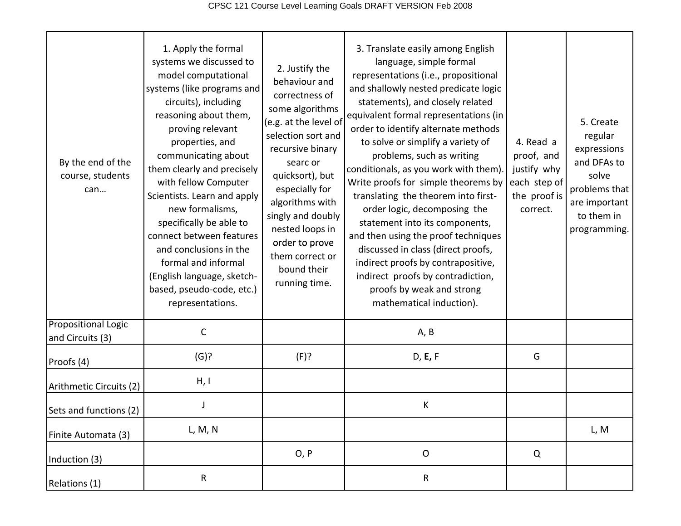| By the end of the<br>course, students<br>can   | 1. Apply the formal<br>systems we discussed to<br>model computational<br>systems (like programs and<br>circuits), including<br>reasoning about them,<br>proving relevant<br>properties, and<br>communicating about<br>them clearly and precisely<br>with fellow Computer<br>Scientists. Learn and apply<br>new formalisms,<br>specifically be able to<br>connect between features<br>and conclusions in the<br>formal and informal<br>(English language, sketch-<br>based, pseudo-code, etc.)<br>representations. | 2. Justify the<br>behaviour and<br>correctness of<br>some algorithms<br>(e.g. at the level of<br>selection sort and<br>recursive binary<br>searc or<br>quicksort), but<br>especially for<br>algorithms with<br>singly and doubly<br>nested loops in<br>order to prove<br>them correct or<br>bound their<br>running time. | 3. Translate easily among English<br>language, simple formal<br>representations (i.e., propositional<br>and shallowly nested predicate logic<br>statements), and closely related<br>equivalent formal representations (in<br>order to identify alternate methods<br>to solve or simplify a variety of<br>problems, such as writing<br>conditionals, as you work with them).<br>Write proofs for simple theorems by<br>translating the theorem into first-<br>order logic, decomposing the<br>statement into its components,<br>and then using the proof techniques<br>discussed in class (direct proofs,<br>indirect proofs by contrapositive,<br>indirect proofs by contradiction,<br>proofs by weak and strong<br>mathematical induction). | 4. Read a<br>proof, and<br>justify why<br>each step of<br>the proof is<br>correct. | 5. Create<br>regular<br>expressions<br>and DFAs to<br>solve<br>problems that<br>are important<br>to them in<br>programming. |
|------------------------------------------------|-------------------------------------------------------------------------------------------------------------------------------------------------------------------------------------------------------------------------------------------------------------------------------------------------------------------------------------------------------------------------------------------------------------------------------------------------------------------------------------------------------------------|--------------------------------------------------------------------------------------------------------------------------------------------------------------------------------------------------------------------------------------------------------------------------------------------------------------------------|----------------------------------------------------------------------------------------------------------------------------------------------------------------------------------------------------------------------------------------------------------------------------------------------------------------------------------------------------------------------------------------------------------------------------------------------------------------------------------------------------------------------------------------------------------------------------------------------------------------------------------------------------------------------------------------------------------------------------------------------|------------------------------------------------------------------------------------|-----------------------------------------------------------------------------------------------------------------------------|
| <b>Propositional Logic</b><br>and Circuits (3) | C                                                                                                                                                                                                                                                                                                                                                                                                                                                                                                                 |                                                                                                                                                                                                                                                                                                                          | A, B                                                                                                                                                                                                                                                                                                                                                                                                                                                                                                                                                                                                                                                                                                                                         |                                                                                    |                                                                                                                             |
| Proofs (4)                                     | (G)?                                                                                                                                                                                                                                                                                                                                                                                                                                                                                                              | (F)?                                                                                                                                                                                                                                                                                                                     | D, E, F                                                                                                                                                                                                                                                                                                                                                                                                                                                                                                                                                                                                                                                                                                                                      | G                                                                                  |                                                                                                                             |
| Arithmetic Circuits (2)                        | H, I                                                                                                                                                                                                                                                                                                                                                                                                                                                                                                              |                                                                                                                                                                                                                                                                                                                          |                                                                                                                                                                                                                                                                                                                                                                                                                                                                                                                                                                                                                                                                                                                                              |                                                                                    |                                                                                                                             |
| Sets and functions (2)                         |                                                                                                                                                                                                                                                                                                                                                                                                                                                                                                                   |                                                                                                                                                                                                                                                                                                                          | K                                                                                                                                                                                                                                                                                                                                                                                                                                                                                                                                                                                                                                                                                                                                            |                                                                                    |                                                                                                                             |
| Finite Automata (3)                            | L, M, N                                                                                                                                                                                                                                                                                                                                                                                                                                                                                                           |                                                                                                                                                                                                                                                                                                                          |                                                                                                                                                                                                                                                                                                                                                                                                                                                                                                                                                                                                                                                                                                                                              |                                                                                    | L, M                                                                                                                        |
| Induction (3)                                  |                                                                                                                                                                                                                                                                                                                                                                                                                                                                                                                   | O, P                                                                                                                                                                                                                                                                                                                     | $\mathsf O$                                                                                                                                                                                                                                                                                                                                                                                                                                                                                                                                                                                                                                                                                                                                  | Q                                                                                  |                                                                                                                             |
| Relations (1)                                  | R                                                                                                                                                                                                                                                                                                                                                                                                                                                                                                                 |                                                                                                                                                                                                                                                                                                                          | ${\sf R}$                                                                                                                                                                                                                                                                                                                                                                                                                                                                                                                                                                                                                                                                                                                                    |                                                                                    |                                                                                                                             |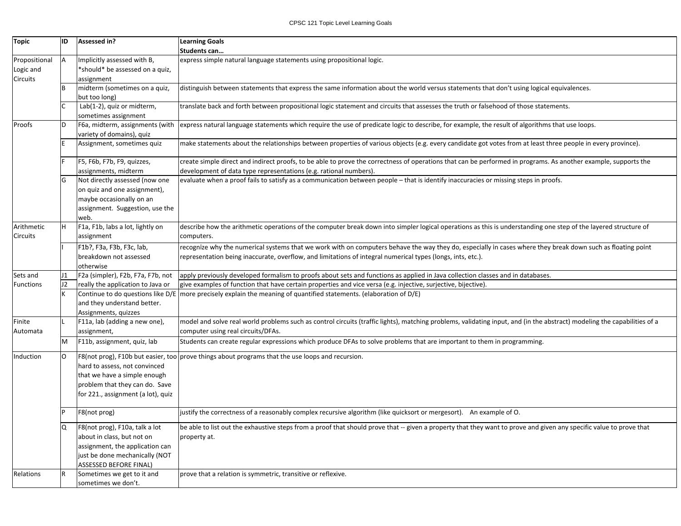| Topic            | ID | Assessed in?                       | <b>Learning Goals</b>                                                                                                                                                    |
|------------------|----|------------------------------------|--------------------------------------------------------------------------------------------------------------------------------------------------------------------------|
|                  |    |                                    | Students can                                                                                                                                                             |
| Propositional    | Α  | Implicitly assessed with B,        | express simple natural language statements using propositional logic.                                                                                                    |
| Logic and        |    | *should* be assessed on a quiz,    |                                                                                                                                                                          |
| Circuits         |    | assignment                         |                                                                                                                                                                          |
|                  |    | midterm (sometimes on a quiz,      | distinguish between statements that express the same information about the world versus statements that don't using logical equivalences.                                |
|                  |    | but too long)                      |                                                                                                                                                                          |
|                  |    | Lab(1-2), quiz or midterm,         | translate back and forth between propositional logic statement and circuits that assesses the truth or falsehood of those statements.                                    |
|                  |    | sometimes assignment               |                                                                                                                                                                          |
| Proofs           |    | F6a, midterm, assignments (with    | express natural language statements which require the use of predicate logic to describe, for example, the result of algorithms that use loops.                          |
|                  |    | variety of domains), quiz          |                                                                                                                                                                          |
|                  |    | Assignment, sometimes quiz         | make statements about the relationships between properties of various objects (e.g. every candidate got votes from at least three people in every province).             |
|                  |    |                                    |                                                                                                                                                                          |
|                  |    | F5, F6b, F7b, F9, quizzes,         | create simple direct and indirect proofs, to be able to prove the correctness of operations that can be performed in programs. As another example, supports the          |
|                  |    | assignments, midterm               | development of data type representations (e.g. rational numbers).                                                                                                        |
|                  |    | Not directly assessed (now one     | evaluate when a proof fails to satisfy as a communication between people - that is identify inaccuracies or missing steps in proofs.                                     |
|                  |    | on quiz and one assignment),       |                                                                                                                                                                          |
|                  |    | maybe occasionally on an           |                                                                                                                                                                          |
|                  |    | assignment. Suggestion, use the    |                                                                                                                                                                          |
|                  |    | web.                               |                                                                                                                                                                          |
| Arithmetic       |    | F1a, F1b, labs a lot, lightly on   | describe how the arithmetic operations of the computer break down into simpler logical operations as this is understanding one step of the layered structure of          |
| Circuits         |    | assignment                         | computers.                                                                                                                                                               |
|                  |    |                                    |                                                                                                                                                                          |
|                  |    | F1b?, F3a, F3b, F3c, lab,          | recognize why the numerical systems that we work with on computers behave the way they do, especially in cases where they break down such as floating point              |
|                  |    | breakdown not assessed             | representation being inaccurate, overflow, and limitations of integral numerical types (longs, ints, etc.).                                                              |
|                  |    | otherwise                          |                                                                                                                                                                          |
| Sets and         | J1 | F2a (simpler), F2b, F7a, F7b, not  | apply previously developed formalism to proofs about sets and functions as applied in Java collection classes and in databases.                                          |
| <b>Functions</b> | J2 | really the application to Java or  | give examples of function that have certain properties and vice versa (e.g. injective, surjective, bijective).                                                           |
|                  |    | Continue to do questions like D/E  | more precisely explain the meaning of quantified statements. (elaboration of D/E)                                                                                        |
|                  |    | and they understand better.        |                                                                                                                                                                          |
|                  |    | Assignments, quizzes               |                                                                                                                                                                          |
| Finite           |    | F11a, lab (adding a new one),      | model and solve real world problems such as control circuits (traffic lights), matching problems, validating input, and (in the abstract) modeling the capabilities of a |
| Automata         |    | assignment,                        | computer using real circuits/DFAs.                                                                                                                                       |
|                  | м  | F11b, assignment, quiz, lab        | Students can create regular expressions which produce DFAs to solve problems that are important to them in programming.                                                  |
| Induction        | O  | F8(not prog), F10b but easier, too | prove things about programs that the use loops and recursion.                                                                                                            |
|                  |    | hard to assess, not convinced      |                                                                                                                                                                          |
|                  |    | that we have a simple enough       |                                                                                                                                                                          |
|                  |    | problem that they can do. Save     |                                                                                                                                                                          |
|                  |    | for 221., assignment (a lot), quiz |                                                                                                                                                                          |
|                  |    |                                    |                                                                                                                                                                          |
|                  |    | F8(not prog)                       | justify the correctness of a reasonably complex recursive algorithm (like quicksort or mergesort). An example of O.                                                      |
|                  |    |                                    |                                                                                                                                                                          |
|                  | Q  | F8(not prog), F10a, talk a lot     | be able to list out the exhaustive steps from a proof that should prove that -- given a property that they want to prove and given any specific value to prove that      |
|                  |    | about in class, but not on         | property at.                                                                                                                                                             |
|                  |    | assignment, the application can    |                                                                                                                                                                          |
|                  |    | just be done mechanically (NOT     |                                                                                                                                                                          |
|                  |    | <b>ASSESSED BEFORE FINAL)</b>      |                                                                                                                                                                          |
| Relations        |    | Sometimes we get to it and         | prove that a relation is symmetric, transitive or reflexive.                                                                                                             |
|                  |    | sometimes we don't.                |                                                                                                                                                                          |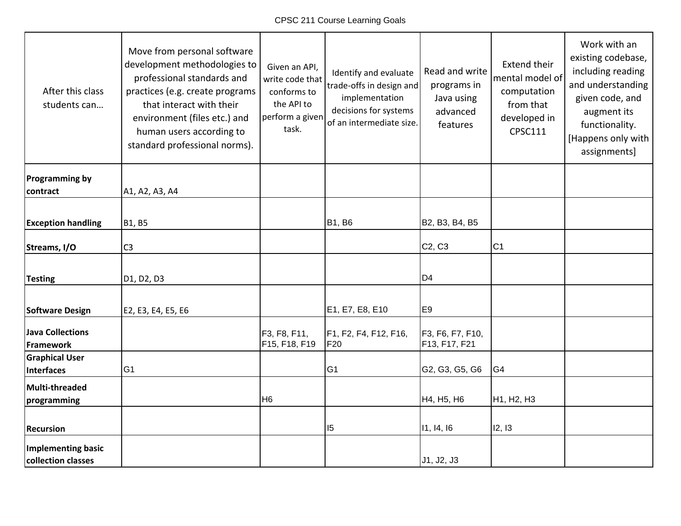| After this class<br>students can                | Move from personal software<br>development methodologies to<br>professional standards and<br>practices (e.g. create programs<br>that interact with their<br>environment (files etc.) and<br>human users according to<br>standard professional norms). | Given an API,<br>write code that<br>conforms to<br>the API to<br>perform a given<br>task. | Identify and evaluate<br>trade-offs in design and<br>implementation<br>decisions for systems<br>of an intermediate size. | Read and write<br>programs in<br>Java using<br>advanced<br>features | <b>Extend their</b><br>mental model of<br>computation<br>from that<br>developed in<br><b>CPSC111</b> | Work with an<br>existing codebase,<br>including reading<br>and understanding<br>given code, and<br>augment its<br>functionality.<br>[Happens only with<br>assignments] |
|-------------------------------------------------|-------------------------------------------------------------------------------------------------------------------------------------------------------------------------------------------------------------------------------------------------------|-------------------------------------------------------------------------------------------|--------------------------------------------------------------------------------------------------------------------------|---------------------------------------------------------------------|------------------------------------------------------------------------------------------------------|------------------------------------------------------------------------------------------------------------------------------------------------------------------------|
| <b>Programming by</b><br>contract               | A1, A2, A3, A4                                                                                                                                                                                                                                        |                                                                                           |                                                                                                                          |                                                                     |                                                                                                      |                                                                                                                                                                        |
|                                                 |                                                                                                                                                                                                                                                       |                                                                                           |                                                                                                                          |                                                                     |                                                                                                      |                                                                                                                                                                        |
| <b>Exception handling</b>                       | B1, B5                                                                                                                                                                                                                                                |                                                                                           | <b>B1, B6</b>                                                                                                            | B2, B3, B4, B5                                                      |                                                                                                      |                                                                                                                                                                        |
| Streams, I/O                                    | C <sub>3</sub>                                                                                                                                                                                                                                        |                                                                                           |                                                                                                                          | C <sub>2</sub> , C <sub>3</sub>                                     | C <sub>1</sub>                                                                                       |                                                                                                                                                                        |
| <b>Testing</b>                                  | D <sub>1</sub> , D <sub>2</sub> , D <sub>3</sub>                                                                                                                                                                                                      |                                                                                           |                                                                                                                          | D <sub>4</sub>                                                      |                                                                                                      |                                                                                                                                                                        |
| Software Design                                 | E2, E3, E4, E5, E6                                                                                                                                                                                                                                    |                                                                                           | E1, E7, E8, E10                                                                                                          | E <sub>9</sub>                                                      |                                                                                                      |                                                                                                                                                                        |
| <b>Java Collections</b><br>Framework            |                                                                                                                                                                                                                                                       | F3, F8, F11,<br>F15, F18, F19                                                             | F1, F2, F4, F12, F16,<br>F20                                                                                             | F3, F6, F7, F10,<br>F13, F17, F21                                   |                                                                                                      |                                                                                                                                                                        |
| <b>Graphical User</b><br>Interfaces             | G <sub>1</sub>                                                                                                                                                                                                                                        |                                                                                           | G <sub>1</sub>                                                                                                           | G2, G3, G5, G6                                                      | G <sub>4</sub>                                                                                       |                                                                                                                                                                        |
| Multi-threaded<br>programming                   |                                                                                                                                                                                                                                                       | H <sub>6</sub>                                                                            |                                                                                                                          | H4, H5, H6                                                          | H <sub>1</sub> , H <sub>2</sub> , H <sub>3</sub>                                                     |                                                                                                                                                                        |
| <b>Recursion</b>                                |                                                                                                                                                                                                                                                       |                                                                                           | 5                                                                                                                        | 11, 14, 16                                                          | 12, 13                                                                                               |                                                                                                                                                                        |
| <b>Implementing basic</b><br>collection classes |                                                                                                                                                                                                                                                       |                                                                                           |                                                                                                                          | J1, J2, J3                                                          |                                                                                                      |                                                                                                                                                                        |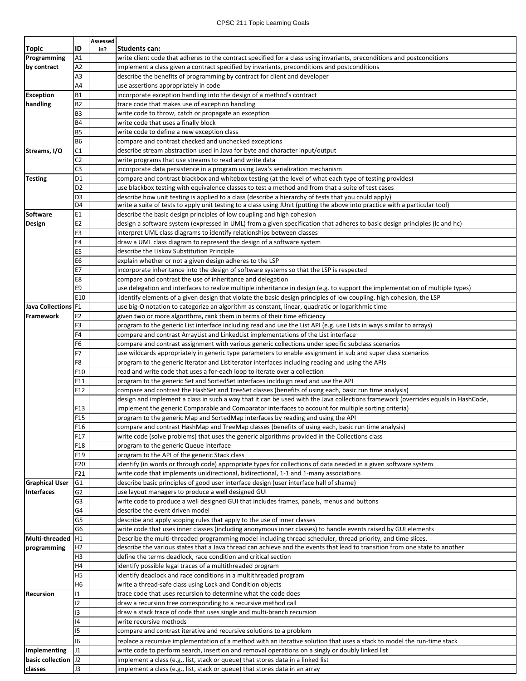## CPSC 211 Topic Learning Goals

|                       |                 | Assessed |                                                                                                                                   |
|-----------------------|-----------------|----------|-----------------------------------------------------------------------------------------------------------------------------------|
| Topic                 | ID              | in?      | Students can:                                                                                                                     |
| Programming           | A1              |          | write client code that adheres to the contract specified for a class using invariants, preconditions and postconditions           |
| by contract           | A2              |          | implement a class given a contract specified by invariants, preconditions and postconditions                                      |
|                       | A3              |          | describe the benefits of programming by contract for client and developer                                                         |
|                       | A4              |          | use assertions appropriately in code                                                                                              |
| <b>Exception</b>      | <b>B1</b>       |          | incorporate exception handling into the design of a method's contract                                                             |
| handling              | <b>B2</b>       |          | trace code that makes use of exception handling                                                                                   |
|                       | B <sub>3</sub>  |          | write code to throw, catch or propagate an exception                                                                              |
|                       | <b>B4</b>       |          | write code that uses a finally block                                                                                              |
|                       | <b>B5</b>       |          | write code to define a new exception class                                                                                        |
|                       | <b>B6</b>       |          | compare and contrast checked and unchecked exceptions                                                                             |
| Streams, I/O          | C1              |          | describe stream abstraction used in Java for byte and character input/output                                                      |
|                       | C <sub>2</sub>  |          | write programs that use streams to read and write data                                                                            |
|                       | C <sub>3</sub>  |          | incorporate data persistence in a program using Java's serialization mechanism                                                    |
| <b>Testing</b>        | D <sub>1</sub>  |          | compare and contrast blackbox and whitebox testing (at the level of what each type of testing provides)                           |
|                       | D <sub>2</sub>  |          | use blackbox testing with equivalence classes to test a method and from that a suite of test cases                                |
|                       | D <sub>3</sub>  |          | describe how unit testing is applied to a class (describe a hierarchy of tests that you could apply)                              |
|                       | D <sub>4</sub>  |          | write a suite of tests to apply unit testing to a class using JUnit (putting the above into practice with a particular tool)      |
| Software              | E1              |          | describe the basic design principles of low coupling and high cohesion                                                            |
| Design                | E <sub>2</sub>  |          | design a software system (expressed in UML) from a given specification that adheres to basic design principles (Ic and hc)        |
|                       | E <sub>3</sub>  |          | interpret UML class diagrams to identify relationships between classes                                                            |
|                       | E4              |          | draw a UML class diagram to represent the design of a software system                                                             |
|                       | E <sub>5</sub>  |          | describe the Liskov Substitution Principle                                                                                        |
|                       | E <sub>6</sub>  |          | explain whether or not a given design adheres to the LSP                                                                          |
|                       | E7              |          | incorporate inheritance into the design of software systems so that the LSP is respected                                          |
|                       | E8              |          | compare and contrast the use of inheritance and delegation                                                                        |
|                       | E9              |          | use delegation and interfaces to realize multiple inheritance in design (e.g. to support the implementation of multiple types)    |
|                       | E10             |          | identify elements of a given design that violate the basic design principles of low coupling, high cohesion, the LSP              |
| Java Collections F1   |                 |          | use big-O notation to categorize an algorithm as constant, linear, quadratic or logarithmic time                                  |
| Framework             | F <sub>2</sub>  |          | given two or more algorithms, rank them in terms of their time efficiency                                                         |
|                       | F <sub>3</sub>  |          | program to the generic List interface including read and use the List API (e.g. use Lists in ways similar to arrays)              |
|                       | F <sub>4</sub>  |          | compare and contrast ArrayList and LinkedList implementations of the List interface                                               |
|                       | F <sub>6</sub>  |          | compare and contrast assignment with various generic collections under specific subclass scenarios                                |
|                       | F7              |          | use wildcards appropriately in generic type parameters to enable assignment in sub and super class scenarios                      |
|                       | F <sub>8</sub>  |          | program to the generic Iterator and ListIterator interfaces including reading and using the APIs                                  |
|                       | F10             |          | read and write code that uses a for-each loop to iterate over a collection                                                        |
|                       | F11             |          | program to the generic Set and SortedSet interfaces inclduign read and use the API                                                |
|                       | F12             |          | compare and contrast the HashSet and TreeSet classes (benefits of using each, basic run time analysis)                            |
|                       |                 |          | design and implement a class in such a way that it can be used with the Java collections framework (overrides equals in HashCode, |
|                       | F13             |          | implement the generic Comparable and Comparator interfaces to account for multiple sorting criteria)                              |
|                       | F <sub>15</sub> |          | program to the generic Map and SortedMap interfaces by reading and using the API                                                  |
|                       | F16             |          | compare and contrast HashMap and TreeMap classes (benefits of using each, basic run time analysis)                                |
|                       | F17             |          | write code (solve problems) that uses the generic algorithms provided in the Collections class                                    |
|                       | F18             |          | program to the generic Queue interface                                                                                            |
|                       | F19             |          | program to the API of the generic Stack class                                                                                     |
|                       | F20             |          | identify (in words or through code) appropriate types for collections of data needed in a given software system                   |
|                       | F21             |          | write code that implements unidirectional, bidirectional, 1-1 and 1-many associations                                             |
| <b>Graphical User</b> | G <sub>1</sub>  |          | describe basic principles of good user interface design (user interface hall of shame)                                            |
| <b>Interfaces</b>     | G2              |          | use layout managers to produce a well designed GUI                                                                                |
|                       | G <sub>3</sub>  |          | write code to produce a well designed GUI that includes frames, panels, menus and buttons                                         |
|                       | G <sub>4</sub>  |          | describe the event driven model                                                                                                   |
|                       | G5              |          | describe and apply scoping rules that apply to the use of inner classes                                                           |
|                       | G6              |          | write code that uses inner classes (including anonymous inner classes) to handle events raised by GUI elements                    |
| Multi-threaded        | H1              |          | Describe the multi-threaded programming model including thread scheduler, thread priority, and time slices.                       |
| programming           | H <sub>2</sub>  |          | describe the various states that a Java thread can achieve and the events that lead to transition from one state to another       |
|                       | H <sub>3</sub>  |          | define the terms deadlock, race condition and critical section                                                                    |
|                       | H4              |          | identify possible legal traces of a multithreaded program                                                                         |
|                       | H <sub>5</sub>  |          | identify deadlock and race conditions in a multithreaded program                                                                  |
|                       | H <sub>6</sub>  |          | write a thread-safe class using Lock and Condition objects                                                                        |
|                       | 11              |          |                                                                                                                                   |
| <b>Recursion</b>      | 12              |          | trace code that uses recursion to determine what the code does<br>draw a recursion tree corresponding to a recursive method call  |
|                       |                 |          |                                                                                                                                   |
|                       | 13<br> 4        |          | draw a stack trace of code that uses single and multi-branch recursion                                                            |
|                       |                 |          | write recursive methods                                                                                                           |
|                       | 15              |          | compare and contrast iterative and recursive solutions to a problem                                                               |
|                       | 16              |          | replace a recursive implementation of a method with an iterative solution that uses a stack to model the run-time stack           |
| Implementing          | J1              |          | write code to perform search, insertion and removal operations on a singly or doubly linked list                                  |
| basic collection      | J2              |          | implement a class (e.g., list, stack or queue) that stores data in a linked list                                                  |
| classes               | J3              |          | implement a class (e.g., list, stack or queue) that stores data in an array                                                       |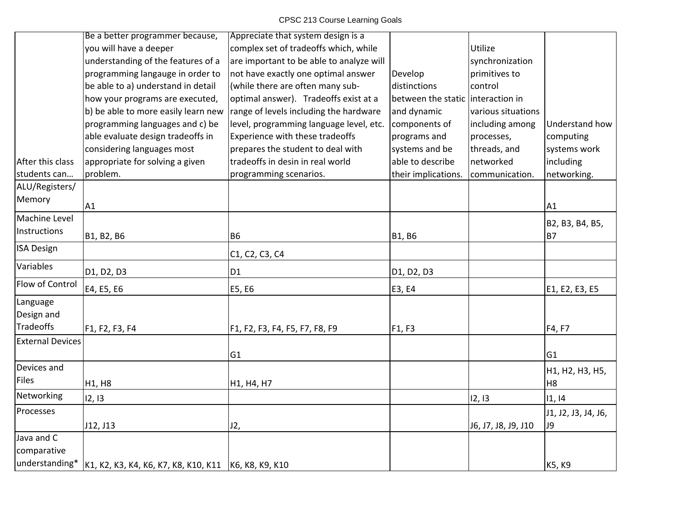| Understand how      |
|---------------------|
| computing           |
| systems work        |
| including           |
| networking.         |
|                     |
|                     |
|                     |
| B2, B3, B4, B5,     |
| <b>B7</b>           |
|                     |
|                     |
| E1, E2, E3, E5      |
|                     |
|                     |
| F4, F7              |
|                     |
| G <sub>1</sub>      |
| H1, H2, H3, H5,     |
| H <sub>8</sub>      |
| 1, 14               |
| J1, J2, J3, J4, J6, |
|                     |
|                     |
|                     |
| K5, K9              |
| A1<br><b>J9</b>     |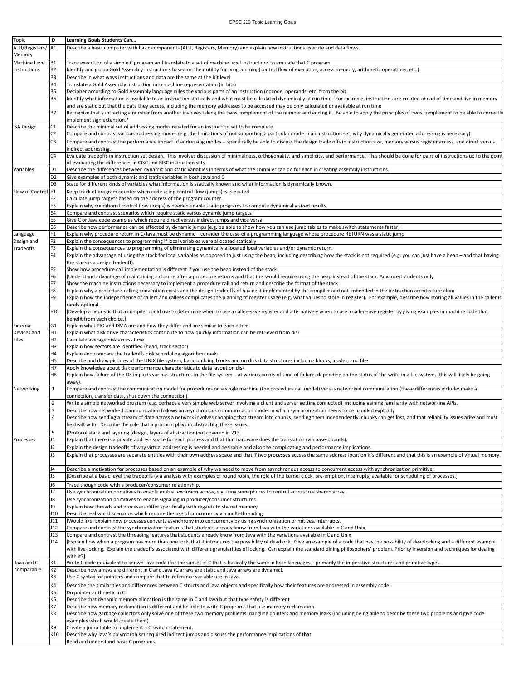| Topic              | ID             | <b>Learning Goals Students Can</b>                                                                                                                                                                    |
|--------------------|----------------|-------------------------------------------------------------------------------------------------------------------------------------------------------------------------------------------------------|
| ALU/Registers/ A1  |                | Describe a basic computer with basic components (ALU, Registers, Memory) and explain how instructions execute and data flows.                                                                         |
| Memory             |                |                                                                                                                                                                                                       |
| Machine Level      | B <sub>1</sub> | Trace execution of a simple C program and translate to a set of machine level instructions to emulate that C program                                                                                  |
|                    |                |                                                                                                                                                                                                       |
| Instructions       | <b>B2</b>      | ldentify and group Gold Assembly instructions based on their utility for programming(control flow of execution, access memory, arithmetic operations, etc.)                                           |
|                    | B <sub>3</sub> | Describe in what ways instructions and data are the same at the bit level.                                                                                                                            |
|                    | <b>B4</b>      | Translate a Gold Assembly instruction into machine representation (in bits)                                                                                                                           |
|                    | <b>B5</b>      | Decipher according to Gold Assembly language rules the various parts of an instruction (opcode, operands, etc) from the bit                                                                           |
|                    | B6             | Identify what information is available to an instruction statically and what must be calculated dynamically at run time. For example, instructions are created ahead of time and live in memory       |
|                    |                | and are static but that the data they access, including the memory addresses to be accessed may be only calculated or available at run time                                                           |
|                    | <b>B7</b>      | Recognize that subtracting a number from another involves taking the twos complement of the number and adding it. Be able to apply the principles of twos complement to be able to correctly          |
|                    |                | implement sign extension.*                                                                                                                                                                            |
| <b>ISA Design</b>  | C1             | Describe the minimal set of addressing modes needed for an instruction set to be complete.                                                                                                            |
|                    | C <sub>2</sub> | Compare and contrast various addressing modes (e.g. the limitations of not supporting a particular mode in an instruction set, why dynamically generated addressing is necessary).                    |
|                    |                |                                                                                                                                                                                                       |
|                    | C <sub>3</sub> | Compare and contrast the performance impact of addressing modes -- specifically be able to discuss the design trade offs in instruction size, memory versus register access, and direct versus        |
|                    |                | indirect addressing.                                                                                                                                                                                  |
|                    | C <sub>4</sub> | Evaluate tradeoffs in instruction set design. This involves discussion of minimalness, orthogonality, and simplicity, and performance. This should be done for pairs of instructions up to the poin   |
|                    |                | of evaluating the differences in CISC and RISC instruction sets.                                                                                                                                      |
| Variables          | D <sub>1</sub> | Describe the differences between dynamic and static variables in terms of what the compiler can do for each in creating assembly instructions.                                                        |
|                    | D <sub>2</sub> | Give examples of both dynamic and static variables in both Java and C                                                                                                                                 |
|                    | D <sub>3</sub> | State for different kinds of variables what information is statically known and what information is dynamically known.                                                                                |
| Flow of Control E1 |                | Keep track of program counter when code using control flow (jumps) is executed                                                                                                                        |
|                    | E <sub>2</sub> | Calculate jump targets based on the address of the program counter.                                                                                                                                   |
|                    | E <sub>3</sub> | Explain why conditional control flow (loops) is needed enable static programs to compute dynamically sized results.                                                                                   |
|                    | E4             | Compare and contrast scenarios which require static versus dynamic jump targets.                                                                                                                      |
|                    | E5             | Give C or Java code examples which require direct versus indirect jumps and vice versa                                                                                                                |
|                    | Е6             | Describe how performance can be affected by dynamic jumps (e.g. be able to show how you can use jump tables to make switch statements faster)                                                         |
|                    | F <sub>1</sub> | Explain why procedure return in C/Java must be dynamic - consider the case of a programming language whose procedure RETURN was a static jump                                                         |
| Language           | F <sub>2</sub> | Explain the consequences to programming if local variables were allocated statically                                                                                                                  |
| Design and         |                |                                                                                                                                                                                                       |
| Tradeoffs          | F <sub>3</sub> | Explain the consequences to programming of eliminating dynamically allocated local variables and/or dynamic return.                                                                                   |
|                    | F <sub>4</sub> | Explain the advantage of using the stack for local variables as opposed to just using the heap, including describing how the stack is not required (e.g. you can just have a heap - and that having   |
|                    |                | the stack is a design tradeoff).                                                                                                                                                                      |
|                    | F <sub>5</sub> | Show how procedure call implementation is different if you use the heap instead of the stack.                                                                                                         |
|                    | F <sub>6</sub> | [Understand advantage of maintaining a closure after a procedure returns and that this would require using the heap instead of the stack. Advanced students only                                      |
|                    | F7             | Show the machine instructions necessary to implement a procedure call and return and describe the format of the stack                                                                                 |
|                    | F8             | Explain why a procedure-calling convention exists and the design tradeoffs of having it implemented by the compiler and not imbedded in the instruction architecture alone                            |
|                    | F <sub>9</sub> | Explain how the independence of callers and callees complicates the planning of register usage (e.g. what values to store in register). For example, describe how storing all values in the caller is |
|                    |                | rarely optimal                                                                                                                                                                                        |
|                    | F10            | [Develop a heuristic that a compiler could use to determine when to use a callee-save register and alternatively when to use a caller-save register by giving examples in machine code that           |
|                    |                | benefit from each choice.]                                                                                                                                                                            |
| External           | G <sub>1</sub> | Explain what PIO and DMA are and how they differ and are similar to each other                                                                                                                        |
| Devices and        | H1             | Explain what disk drive characteristics contribute to how quickly information can be retrieved from disl                                                                                              |
| Files              | H2             | Calculate average disk access time                                                                                                                                                                    |
|                    | H <sub>3</sub> | Explain how sectors are identified (head, track sector)                                                                                                                                               |
|                    | H <sub>4</sub> | Explain and compare the tradeoffs disk scheduling algorithms make                                                                                                                                     |
|                    | H5             | Describe and draw pictures of the UNIX file system, basic building blocks and on disk data structures including blocks, inodes, and files                                                             |
|                    | H7             | Apply knowledge about disk performance characteristics to data layout on disk                                                                                                                         |
|                    | H <sub>8</sub> | Explain how failure of the OS impacts various structures in the file system - at various points of time of failure, depending on the status of the write in a file system. (this will likely be going |
|                    |                | away).                                                                                                                                                                                                |
| Networking         | $\mathsf{I}1$  | Compare and contrast the communication model for procedures on a single machine (the procedure call model) versus networked communication (these differences include: make a                          |
|                    |                | connection, transfer data, shut down the connection).                                                                                                                                                 |
|                    | 12             | Write a simple networked program (e.g. perhaps a very simple web server involving a client and server getting connected), including gaining familiarity with networking APIs.                         |
|                    |                |                                                                                                                                                                                                       |
|                    | 13             | Describe how networked communication follows an asynchronous communication model in which synchronization needs to be handled explicitly                                                              |
|                    | $\mathsf{I}4$  | Describe how sending a stream of data across a network involves chopping that stream into chunks, sending them independently, chunks can get lost, and that reliability issues arise and must         |
|                    |                | be dealt with. Describe the role that a protocol plays in abstracting these issues.                                                                                                                   |
|                    | 15             | [Protocol stack and layering (design, layers of abstraction)not covered in 213]                                                                                                                       |
| Processes          | J1             | Explain that there is a private address space for each process and that that hardware does the translation (via base-bounds).                                                                         |
|                    | J2             | Explain the design tradeoffs of why virtual addressing is needed and desirable and also the complicating and performance implications.                                                                |
|                    | J3             | Explain that processes are separate entities with their own address space and that if two processes access the same address location it's different and that this is an example of virtual memory.    |
|                    |                |                                                                                                                                                                                                       |
|                    | J4             | Describe a motivation for processes based on an example of why we need to move from asynchronous access to concurrent access with synchronization primitives                                          |
|                    | J5             | [Describe at a basic level the tradeoffs (via analysis with examples of round robin, the role of the kernel clock, pre-emption, interrupts) available for scheduling of processes.]                   |
|                    | J6             |                                                                                                                                                                                                       |
|                    | J7             | Trace though code with a producer/consumer relationship.                                                                                                                                              |
|                    |                | Use synchronization primitives to enable mutual exclusion access, e.g using semaphores to control access to a shared array.                                                                           |
|                    | J8             | Use synchronization primitives to enable signaling in producer/consumer structures                                                                                                                    |
|                    | J9             | Explain how threads and processes differ specifically with regards to shared memory                                                                                                                   |
|                    | J10            | Describe real world scenarios which require the use of concurrency via multi-threading                                                                                                                |
|                    | 111            | [Would like: Explain how processes converts asynchrony into concurrency by using synchronization primitives. Interrupts.                                                                              |
|                    | J12            | Compare and contrast the synchronization features that students already know from Java with the variations available in C and Unix                                                                    |
|                    | J13            | Compare and contrast the threading features that students already know from Java with the variations available in C and Unix                                                                          |
|                    | J14            | [Explain how when a program has more than one lock, that it introduces the possibility of deadlock. Give an example of a code that has the possibility of deadlocking and a different example         |
|                    |                | with live-locking. Explain the tradeoffs associated with different granularities of locking. Can explain the standard dining philosophers' problem. Priority inversion and techniques for dealing     |
|                    |                | with it?]                                                                                                                                                                                             |
| Java and C         | K1             | Write C code equivalent to known Java code (for the subset of C that is basically the same in both languages - primarily the imperative structures and primitive types                                |
| comparable         | K <sub>2</sub> | Describe how arrays are different in C and Java (C arrays are static and Java arrays are dynamic).                                                                                                    |
|                    | K3             | Use C syntax for pointers and compare that to reference variable use in Java.                                                                                                                         |
|                    | K4             | Describe the similarities and differences between C structs and Java objects and specifically how their features are addressed in assembly code                                                       |
|                    | K <sub>5</sub> | Do pointer arithmetic in C.                                                                                                                                                                           |
|                    | K6             | Describe that dynamic memory allocation is the same in C and Java but that type safety is different                                                                                                   |
|                    | K7             | Describe how memory reclamation is different and be able to write C programs that use memory reclamation                                                                                              |
|                    | K8             | Describe how garbage collectors only solve one of these two memory problems: dangling pointers and memory leaks (including being able to describe these two problems and give code                    |
|                    |                | examples which would create them).                                                                                                                                                                    |
|                    | K9             | Create a jump table to implement a C switch statement.                                                                                                                                                |
|                    | K10            | Describe why Java's polymorphism required indirect jumps and discuss the performance implications of that                                                                                             |
|                    |                | Read and understand basic C programs.                                                                                                                                                                 |
|                    |                |                                                                                                                                                                                                       |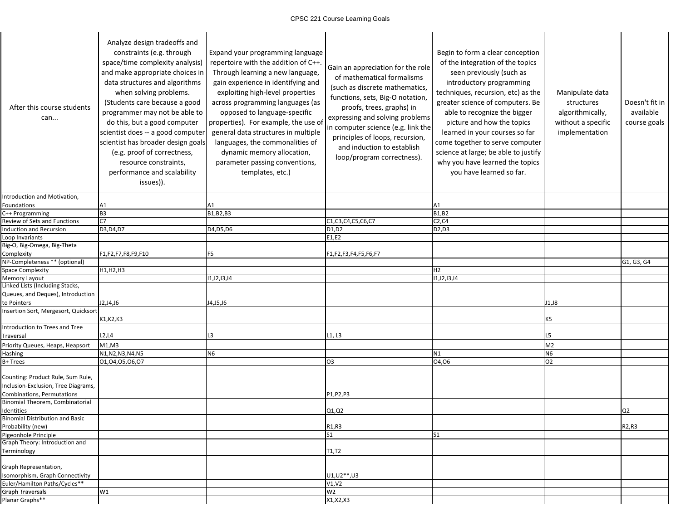| After this course students<br>can                                        | Analyze design tradeoffs and<br>constraints (e.g. through<br>space/time complexity analysis)<br>and make appropriate choices in<br>data structures and algorithms<br>when solving problems.<br>(Students care because a good<br>programmer may not be able to<br>do this, but a good computer<br>scientist does -- a good computer<br>scientist has broader design goals<br>(e.g. proof of correctness,<br>resource constraints,<br>performance and scalability<br>issues)). | Expand your programming language<br>repertoire with the addition of C++.<br>Through learning a new language,<br>gain experience in identifying and<br>exploiting high-level properties<br>across programming languages (as<br>opposed to language-specific<br>properties). For example, the use of<br>general data structures in multiple<br>languages, the commonalities of<br>dynamic memory allocation,<br>parameter passing conventions,<br>templates, etc.) | Gain an appreciation for the role<br>of mathematical formalisms<br>(such as discrete mathematics,<br>functions, sets, Big-O notation,<br>proofs, trees, graphs) in<br>expressing and solving problems<br>in computer science (e.g. link the<br>principles of loops, recursion,<br>and induction to establish<br>loop/program correctness). | Begin to form a clear conception<br>of the integration of the topics<br>seen previously (such as<br>introductory programming<br>techniques, recursion, etc) as the<br>greater science of computers. Be<br>able to recognize the bigger<br>picture and how the topics<br>learned in your courses so far<br>come together to serve computer<br>science at large; be able to justify<br>why you have learned the topics<br>you have learned so far. | Manipulate data<br>structures<br>algorithmically,<br>without a specific<br>implementation | Doesn't fit in<br>available<br>course goals |
|--------------------------------------------------------------------------|------------------------------------------------------------------------------------------------------------------------------------------------------------------------------------------------------------------------------------------------------------------------------------------------------------------------------------------------------------------------------------------------------------------------------------------------------------------------------|------------------------------------------------------------------------------------------------------------------------------------------------------------------------------------------------------------------------------------------------------------------------------------------------------------------------------------------------------------------------------------------------------------------------------------------------------------------|--------------------------------------------------------------------------------------------------------------------------------------------------------------------------------------------------------------------------------------------------------------------------------------------------------------------------------------------|--------------------------------------------------------------------------------------------------------------------------------------------------------------------------------------------------------------------------------------------------------------------------------------------------------------------------------------------------------------------------------------------------------------------------------------------------|-------------------------------------------------------------------------------------------|---------------------------------------------|
| Introduction and Motivation,                                             |                                                                                                                                                                                                                                                                                                                                                                                                                                                                              |                                                                                                                                                                                                                                                                                                                                                                                                                                                                  |                                                                                                                                                                                                                                                                                                                                            |                                                                                                                                                                                                                                                                                                                                                                                                                                                  |                                                                                           |                                             |
| Foundations                                                              | Α1                                                                                                                                                                                                                                                                                                                                                                                                                                                                           | A1                                                                                                                                                                                                                                                                                                                                                                                                                                                               |                                                                                                                                                                                                                                                                                                                                            | A1                                                                                                                                                                                                                                                                                                                                                                                                                                               |                                                                                           |                                             |
| C++ Programming                                                          | B <sub>3</sub>                                                                                                                                                                                                                                                                                                                                                                                                                                                               | B1, B2, B3                                                                                                                                                                                                                                                                                                                                                                                                                                                       |                                                                                                                                                                                                                                                                                                                                            | <b>B1,B2</b>                                                                                                                                                                                                                                                                                                                                                                                                                                     |                                                                                           |                                             |
| Review of Sets and Functions                                             | C7                                                                                                                                                                                                                                                                                                                                                                                                                                                                           |                                                                                                                                                                                                                                                                                                                                                                                                                                                                  | $\overline{C1,C3,C4}$ , $\overline{C5}$ , $\overline{C6}$ , $\overline{C7}$                                                                                                                                                                                                                                                                | C2, C4                                                                                                                                                                                                                                                                                                                                                                                                                                           |                                                                                           |                                             |
| Induction and Recursion                                                  | D3, D4, D7                                                                                                                                                                                                                                                                                                                                                                                                                                                                   | D4, D5, D6                                                                                                                                                                                                                                                                                                                                                                                                                                                       | D1,D2                                                                                                                                                                                                                                                                                                                                      | D2,D3                                                                                                                                                                                                                                                                                                                                                                                                                                            |                                                                                           |                                             |
| Loop Invariants                                                          |                                                                                                                                                                                                                                                                                                                                                                                                                                                                              |                                                                                                                                                                                                                                                                                                                                                                                                                                                                  | E1,E2                                                                                                                                                                                                                                                                                                                                      |                                                                                                                                                                                                                                                                                                                                                                                                                                                  |                                                                                           |                                             |
| Big-O, Big-Omega, Big-Theta                                              |                                                                                                                                                                                                                                                                                                                                                                                                                                                                              |                                                                                                                                                                                                                                                                                                                                                                                                                                                                  |                                                                                                                                                                                                                                                                                                                                            |                                                                                                                                                                                                                                                                                                                                                                                                                                                  |                                                                                           |                                             |
| Complexity                                                               | F1,F2,F7,F8,F9,F10                                                                                                                                                                                                                                                                                                                                                                                                                                                           | F5                                                                                                                                                                                                                                                                                                                                                                                                                                                               | F1,F2,F3,F4,F5,F6,F7                                                                                                                                                                                                                                                                                                                       |                                                                                                                                                                                                                                                                                                                                                                                                                                                  |                                                                                           |                                             |
| NP-Completeness ** (optional)                                            |                                                                                                                                                                                                                                                                                                                                                                                                                                                                              |                                                                                                                                                                                                                                                                                                                                                                                                                                                                  |                                                                                                                                                                                                                                                                                                                                            |                                                                                                                                                                                                                                                                                                                                                                                                                                                  |                                                                                           | G1, G3, G4                                  |
| Space Complexity                                                         | H1,H2,H3                                                                                                                                                                                                                                                                                                                                                                                                                                                                     |                                                                                                                                                                                                                                                                                                                                                                                                                                                                  |                                                                                                                                                                                                                                                                                                                                            | Η2                                                                                                                                                                                                                                                                                                                                                                                                                                               |                                                                                           |                                             |
| Memory Layout<br>Linked Lists (Including Stacks,                         |                                                                                                                                                                                                                                                                                                                                                                                                                                                                              | 11, 12, 13, 14                                                                                                                                                                                                                                                                                                                                                                                                                                                   |                                                                                                                                                                                                                                                                                                                                            | 11, 12, 13, 14                                                                                                                                                                                                                                                                                                                                                                                                                                   |                                                                                           |                                             |
| Queues, and Deques), Introduction                                        |                                                                                                                                                                                                                                                                                                                                                                                                                                                                              |                                                                                                                                                                                                                                                                                                                                                                                                                                                                  |                                                                                                                                                                                                                                                                                                                                            |                                                                                                                                                                                                                                                                                                                                                                                                                                                  |                                                                                           |                                             |
| to Pointers                                                              | J2,J4,J6                                                                                                                                                                                                                                                                                                                                                                                                                                                                     | J4,J5,J6                                                                                                                                                                                                                                                                                                                                                                                                                                                         |                                                                                                                                                                                                                                                                                                                                            |                                                                                                                                                                                                                                                                                                                                                                                                                                                  | J1, J8                                                                                    |                                             |
| Insertion Sort, Mergesort, Quicksort                                     |                                                                                                                                                                                                                                                                                                                                                                                                                                                                              |                                                                                                                                                                                                                                                                                                                                                                                                                                                                  |                                                                                                                                                                                                                                                                                                                                            |                                                                                                                                                                                                                                                                                                                                                                                                                                                  |                                                                                           |                                             |
|                                                                          | K1, K2, K3                                                                                                                                                                                                                                                                                                                                                                                                                                                                   |                                                                                                                                                                                                                                                                                                                                                                                                                                                                  |                                                                                                                                                                                                                                                                                                                                            |                                                                                                                                                                                                                                                                                                                                                                                                                                                  | K5                                                                                        |                                             |
| Introduction to Trees and Tree                                           |                                                                                                                                                                                                                                                                                                                                                                                                                                                                              |                                                                                                                                                                                                                                                                                                                                                                                                                                                                  |                                                                                                                                                                                                                                                                                                                                            |                                                                                                                                                                                                                                                                                                                                                                                                                                                  |                                                                                           |                                             |
| Traversal                                                                | L2, L4                                                                                                                                                                                                                                                                                                                                                                                                                                                                       | L3                                                                                                                                                                                                                                                                                                                                                                                                                                                               | L1, L3                                                                                                                                                                                                                                                                                                                                     |                                                                                                                                                                                                                                                                                                                                                                                                                                                  | L5                                                                                        |                                             |
| Priority Queues, Heaps, Heapsort                                         | M1, M3                                                                                                                                                                                                                                                                                                                                                                                                                                                                       |                                                                                                                                                                                                                                                                                                                                                                                                                                                                  |                                                                                                                                                                                                                                                                                                                                            |                                                                                                                                                                                                                                                                                                                                                                                                                                                  | M <sub>2</sub>                                                                            |                                             |
| Hashing                                                                  | N1, N2, N3, N4, N5                                                                                                                                                                                                                                                                                                                                                                                                                                                           | N6                                                                                                                                                                                                                                                                                                                                                                                                                                                               |                                                                                                                                                                                                                                                                                                                                            | N <sub>1</sub>                                                                                                                                                                                                                                                                                                                                                                                                                                   | N <sub>6</sub>                                                                            |                                             |
| B+ Trees                                                                 | 01,04,05,06,07                                                                                                                                                                                                                                                                                                                                                                                                                                                               |                                                                                                                                                                                                                                                                                                                                                                                                                                                                  | O <sub>3</sub>                                                                                                                                                                                                                                                                                                                             | 04,06                                                                                                                                                                                                                                                                                                                                                                                                                                            | O <sub>2</sub>                                                                            |                                             |
| Counting: Product Rule, Sum Rule,<br>Inclusion-Exclusion, Tree Diagrams, |                                                                                                                                                                                                                                                                                                                                                                                                                                                                              |                                                                                                                                                                                                                                                                                                                                                                                                                                                                  |                                                                                                                                                                                                                                                                                                                                            |                                                                                                                                                                                                                                                                                                                                                                                                                                                  |                                                                                           |                                             |
| Combinations, Permutations                                               |                                                                                                                                                                                                                                                                                                                                                                                                                                                                              |                                                                                                                                                                                                                                                                                                                                                                                                                                                                  | P1,P2,P3                                                                                                                                                                                                                                                                                                                                   |                                                                                                                                                                                                                                                                                                                                                                                                                                                  |                                                                                           |                                             |
| Binomial Theorem, Combinatorial                                          |                                                                                                                                                                                                                                                                                                                                                                                                                                                                              |                                                                                                                                                                                                                                                                                                                                                                                                                                                                  |                                                                                                                                                                                                                                                                                                                                            |                                                                                                                                                                                                                                                                                                                                                                                                                                                  |                                                                                           |                                             |
| Identities                                                               |                                                                                                                                                                                                                                                                                                                                                                                                                                                                              |                                                                                                                                                                                                                                                                                                                                                                                                                                                                  | Q1,Q2                                                                                                                                                                                                                                                                                                                                      |                                                                                                                                                                                                                                                                                                                                                                                                                                                  |                                                                                           | Q <sub>2</sub>                              |
| <b>Binomial Distribution and Basic</b><br>Probability (new)              |                                                                                                                                                                                                                                                                                                                                                                                                                                                                              |                                                                                                                                                                                                                                                                                                                                                                                                                                                                  | R <sub>1</sub> ,R <sub>3</sub>                                                                                                                                                                                                                                                                                                             |                                                                                                                                                                                                                                                                                                                                                                                                                                                  |                                                                                           | R2,R3                                       |
| Pigeonhole Principle                                                     |                                                                                                                                                                                                                                                                                                                                                                                                                                                                              |                                                                                                                                                                                                                                                                                                                                                                                                                                                                  | S <sub>1</sub>                                                                                                                                                                                                                                                                                                                             | S <sub>1</sub>                                                                                                                                                                                                                                                                                                                                                                                                                                   |                                                                                           |                                             |
| Graph Theory: Introduction and                                           |                                                                                                                                                                                                                                                                                                                                                                                                                                                                              |                                                                                                                                                                                                                                                                                                                                                                                                                                                                  |                                                                                                                                                                                                                                                                                                                                            |                                                                                                                                                                                                                                                                                                                                                                                                                                                  |                                                                                           |                                             |
| Terminology                                                              |                                                                                                                                                                                                                                                                                                                                                                                                                                                                              |                                                                                                                                                                                                                                                                                                                                                                                                                                                                  | T1,T2                                                                                                                                                                                                                                                                                                                                      |                                                                                                                                                                                                                                                                                                                                                                                                                                                  |                                                                                           |                                             |
| Graph Representation,                                                    |                                                                                                                                                                                                                                                                                                                                                                                                                                                                              |                                                                                                                                                                                                                                                                                                                                                                                                                                                                  |                                                                                                                                                                                                                                                                                                                                            |                                                                                                                                                                                                                                                                                                                                                                                                                                                  |                                                                                           |                                             |
| Isomorphism, Graph Connectivity                                          |                                                                                                                                                                                                                                                                                                                                                                                                                                                                              |                                                                                                                                                                                                                                                                                                                                                                                                                                                                  | U1, U2 **, U3                                                                                                                                                                                                                                                                                                                              |                                                                                                                                                                                                                                                                                                                                                                                                                                                  |                                                                                           |                                             |
| Euler/Hamilton Paths/Cycles**                                            |                                                                                                                                                                                                                                                                                                                                                                                                                                                                              |                                                                                                                                                                                                                                                                                                                                                                                                                                                                  | V1.V2                                                                                                                                                                                                                                                                                                                                      |                                                                                                                                                                                                                                                                                                                                                                                                                                                  |                                                                                           |                                             |
| <b>Graph Traversals</b>                                                  | W1                                                                                                                                                                                                                                                                                                                                                                                                                                                                           |                                                                                                                                                                                                                                                                                                                                                                                                                                                                  | W <sub>2</sub>                                                                                                                                                                                                                                                                                                                             |                                                                                                                                                                                                                                                                                                                                                                                                                                                  |                                                                                           |                                             |
| Planar Graphs**                                                          |                                                                                                                                                                                                                                                                                                                                                                                                                                                                              |                                                                                                                                                                                                                                                                                                                                                                                                                                                                  | X1, X2, X3                                                                                                                                                                                                                                                                                                                                 |                                                                                                                                                                                                                                                                                                                                                                                                                                                  |                                                                                           |                                             |